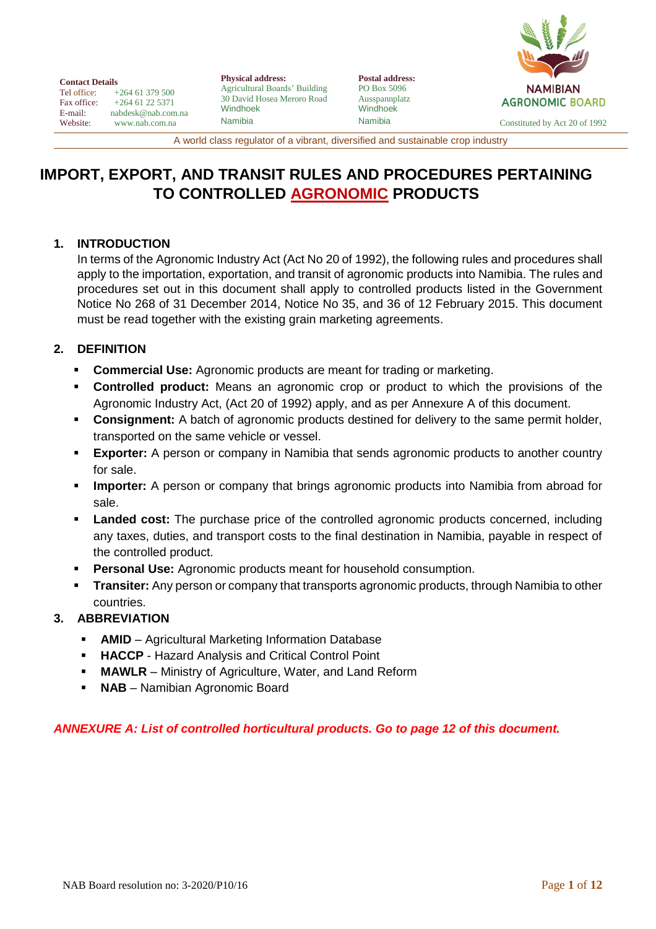| NAMIBIAN               |  |  |  |  |  |
|------------------------|--|--|--|--|--|
| <b>AGRONOMIC BOARD</b> |  |  |  |  |  |
|                        |  |  |  |  |  |

**Contact Details**<br>Tel office: + Tel office:  $+264 61 379 500$ <br>Fax office:  $+264 61 22 5371$ Fax office:  $+264\,61\,22\,5371$ <br>E-mail: nabdesk@nab.com E-mail: nabdesk@nab.com.na<br>Website: www.nab.com.na [www.nab.com.na](http://www.nab.com.na/)

**Physical address:** Agricultural Boards' Building 30 David Hosea Meroro Road Windhoek Namibia

**Postal address:** PO Box 5096 Ausspannplatz Windhoek

Namibia Constituted by Act 20 of 1992

A world class regulator of a vibrant, diversified and sustainable crop industry

# **IMPORT, EXPORT, AND TRANSIT RULES AND PROCEDURES PERTAINING TO CONTROLLED AGRONOMIC PRODUCTS**

#### **1. INTRODUCTION**

In terms of the Agronomic Industry Act (Act No 20 of 1992), the following rules and procedures shall apply to the importation, exportation, and transit of agronomic products into Namibia. The rules and procedures set out in this document shall apply to controlled products listed in the Government Notice No 268 of 31 December 2014, Notice No 35, and 36 of 12 February 2015. This document must be read together with the existing grain marketing agreements.

# **2. DEFINITION**

- **Commercial Use:** Agronomic products are meant for trading or marketing.
- **Controlled product:** Means an agronomic crop or product to which the provisions of the Agronomic Industry Act, (Act 20 of 1992) apply, and as per Annexure A of this document.
- **Consignment:** A batch of agronomic products destined for delivery to the same permit holder, transported on the same vehicle or vessel.
- **Exporter:** A person or company in Namibia that sends agronomic products to another country for sale.
- **EXED Importer:** A person or company that brings agronomic products into Namibia from abroad for sale.
- **Landed cost:** The purchase price of the controlled agronomic products concerned, including any taxes, duties, and transport costs to the final destination in Namibia, payable in respect of the controlled product.
- **Personal Use:** Agronomic products meant for household consumption.
- **Transiter:** Any person or company that transports agronomic products, through Namibia to other countries.

## **3. ABBREVIATION**

- **EXECUTE:** AMID Agricultural Marketing Information Database
- **HACCP** Hazard Analysis and Critical Control Point
- **MAWLR** Ministry of Agriculture, Water, and Land Reform
- **NAB** Namibian Agronomic Board

## *ANNEXURE A: List of controlled horticultural products. Go to page 12 of this document.*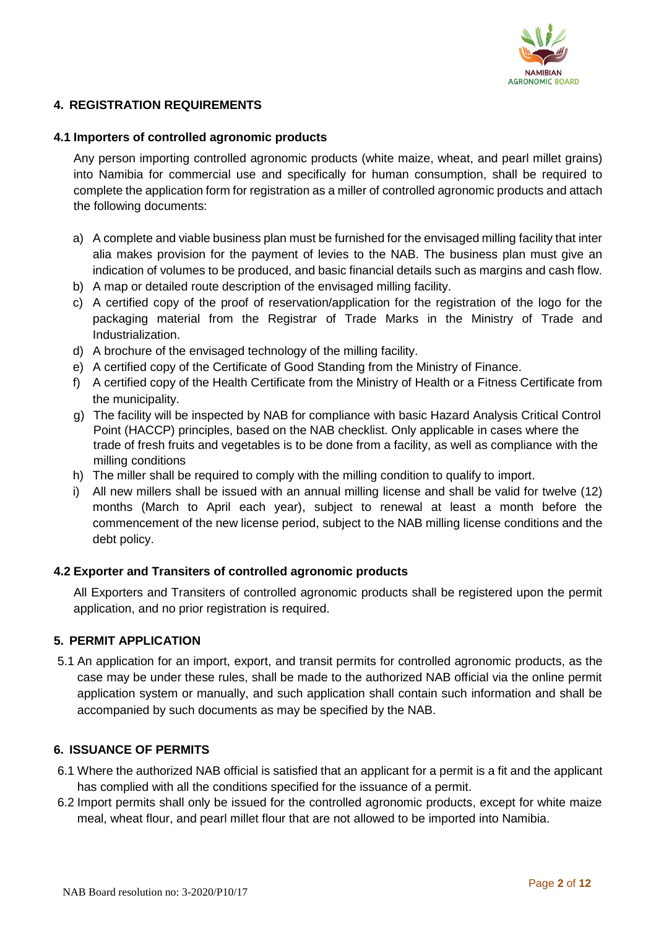

#### **4. REGISTRATION REQUIREMENTS**

#### **4.1 Importers of controlled agronomic products**

Any person importing controlled agronomic products (white maize, wheat, and pearl millet grains) into Namibia for commercial use and specifically for human consumption, shall be required to complete the application form for registration as a miller of controlled agronomic products and attach the following documents:

- a) A complete and viable business plan must be furnished for the envisaged milling facility that inter alia makes provision for the payment of levies to the NAB. The business plan must give an indication of volumes to be produced, and basic financial details such as margins and cash flow.
- b) A map or detailed route description of the envisaged milling facility.
- c) A certified copy of the proof of reservation/application for the registration of the logo for the packaging material from the Registrar of Trade Marks in the Ministry of Trade and Industrialization.
- d) A brochure of the envisaged technology of the milling facility.
- e) A certified copy of the Certificate of Good Standing from the Ministry of Finance.
- f) A certified copy of the Health Certificate from the Ministry of Health or a Fitness Certificate from the municipality.
- g) The facility will be inspected by NAB for compliance with basic Hazard Analysis Critical Control Point (HACCP) principles, based on the NAB checklist. Only applicable in cases where the trade of fresh fruits and vegetables is to be done from a facility, as well as compliance with the milling conditions
- h) The miller shall be required to comply with the milling condition to qualify to import.
- i) All new millers shall be issued with an annual milling license and shall be valid for twelve (12) months (March to April each year), subject to renewal at least a month before the commencement of the new license period, subject to the NAB milling license conditions and the debt policy.

#### **4.2 Exporter and Transiters of controlled agronomic products**

All Exporters and Transiters of controlled agronomic products shall be registered upon the permit application, and no prior registration is required.

#### **5. PERMIT APPLICATION**

5.1 An application for an import, export, and transit permits for controlled agronomic products, as the case may be under these rules, shall be made to the authorized NAB official via the online permit application system or manually, and such application shall contain such information and shall be accompanied by such documents as may be specified by the NAB.

#### **6. ISSUANCE OF PERMITS**

- 6.1 Where the authorized NAB official is satisfied that an applicant for a permit is a fit and the applicant has complied with all the conditions specified for the issuance of a permit.
- 6.2 Import permits shall only be issued for the controlled agronomic products, except for white maize meal, wheat flour, and pearl millet flour that are not allowed to be imported into Namibia.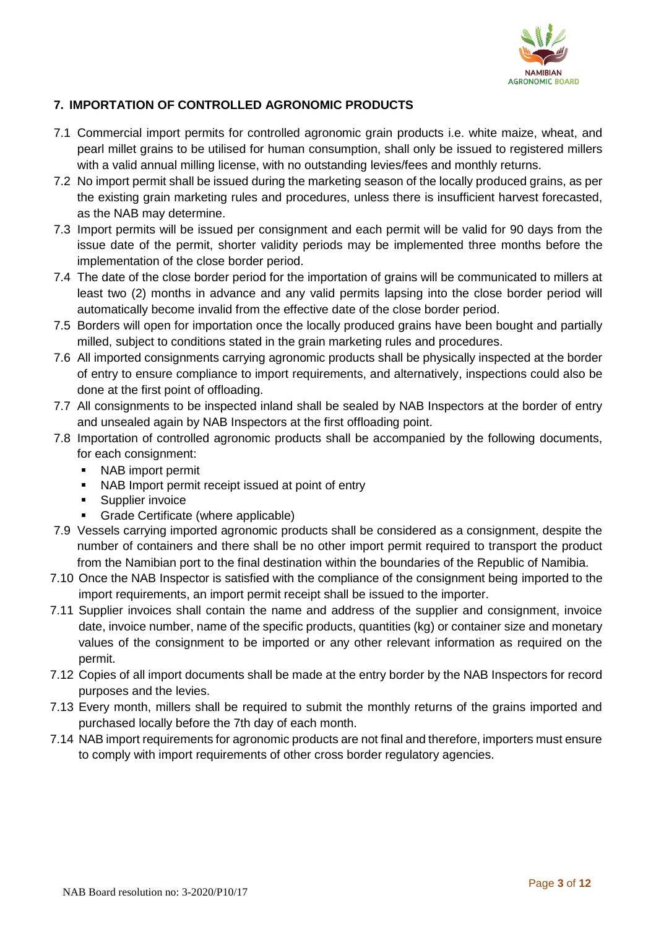

# **7. IMPORTATION OF CONTROLLED AGRONOMIC PRODUCTS**

- 7.1 Commercial import permits for controlled agronomic grain products i.e. white maize, wheat, and pearl millet grains to be utilised for human consumption, shall only be issued to registered millers with a valid annual milling license, with no outstanding levies/fees and monthly returns.
- 7.2 No import permit shall be issued during the marketing season of the locally produced grains, as per the existing grain marketing rules and procedures, unless there is insufficient harvest forecasted, as the NAB may determine.
- 7.3 Import permits will be issued per consignment and each permit will be valid for 90 days from the issue date of the permit, shorter validity periods may be implemented three months before the implementation of the close border period.
- 7.4 The date of the close border period for the importation of grains will be communicated to millers at least two (2) months in advance and any valid permits lapsing into the close border period will automatically become invalid from the effective date of the close border period.
- 7.5 Borders will open for importation once the locally produced grains have been bought and partially milled, subject to conditions stated in the grain marketing rules and procedures.
- 7.6 All imported consignments carrying agronomic products shall be physically inspected at the border of entry to ensure compliance to import requirements, and alternatively, inspections could also be done at the first point of offloading.
- 7.7 All consignments to be inspected inland shall be sealed by NAB Inspectors at the border of entry and unsealed again by NAB Inspectors at the first offloading point.
- 7.8 Importation of controlled agronomic products shall be accompanied by the following documents, for each consignment:
	- NAB import permit
	- NAB Import permit receipt issued at point of entry
	- **■** Supplier invoice
	- **Grade Certificate (where applicable)**
- 7.9 Vessels carrying imported agronomic products shall be considered as a consignment, despite the number of containers and there shall be no other import permit required to transport the product from the Namibian port to the final destination within the boundaries of the Republic of Namibia.
- 7.10 Once the NAB Inspector is satisfied with the compliance of the consignment being imported to the import requirements, an import permit receipt shall be issued to the importer.
- 7.11 Supplier invoices shall contain the name and address of the supplier and consignment, invoice date, invoice number, name of the specific products, quantities (kg) or container size and monetary values of the consignment to be imported or any other relevant information as required on the permit.
- 7.12 Copies of all import documents shall be made at the entry border by the NAB Inspectors for record purposes and the levies.
- 7.13 Every month, millers shall be required to submit the monthly returns of the grains imported and purchased locally before the 7th day of each month.
- 7.14 NAB import requirements for agronomic products are not final and therefore, importers must ensure to comply with import requirements of other cross border regulatory agencies.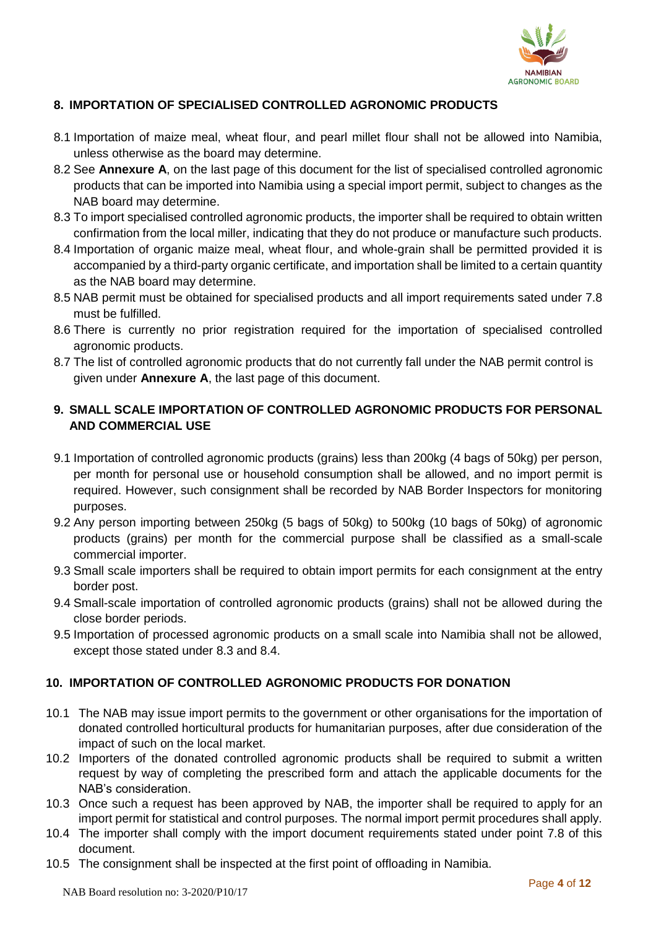

# **8. IMPORTATION OF SPECIALISED CONTROLLED AGRONOMIC PRODUCTS**

- 8.1 Importation of maize meal, wheat flour, and pearl millet flour shall not be allowed into Namibia, unless otherwise as the board may determine.
- 8.2 See **Annexure A**, on the last page of this document for the list of specialised controlled agronomic products that can be imported into Namibia using a special import permit, subject to changes as the NAB board may determine.
- 8.3 To import specialised controlled agronomic products, the importer shall be required to obtain written confirmation from the local miller, indicating that they do not produce or manufacture such products.
- 8.4 Importation of organic maize meal, wheat flour, and whole-grain shall be permitted provided it is accompanied by a third-party organic certificate, and importation shall be limited to a certain quantity as the NAB board may determine.
- 8.5 NAB permit must be obtained for specialised products and all import requirements sated under 7.8 must be fulfilled.
- 8.6 There is currently no prior registration required for the importation of specialised controlled agronomic products.
- 8.7 The list of controlled agronomic products that do not currently fall under the NAB permit control is given under **Annexure A**, the last page of this document.

# **9. SMALL SCALE IMPORTATION OF CONTROLLED AGRONOMIC PRODUCTS FOR PERSONAL AND COMMERCIAL USE**

- 9.1 Importation of controlled agronomic products (grains) less than 200kg (4 bags of 50kg) per person, per month for personal use or household consumption shall be allowed, and no import permit is required. However, such consignment shall be recorded by NAB Border Inspectors for monitoring purposes.
- 9.2 Any person importing between 250kg (5 bags of 50kg) to 500kg (10 bags of 50kg) of agronomic products (grains) per month for the commercial purpose shall be classified as a small-scale commercial importer.
- 9.3 Small scale importers shall be required to obtain import permits for each consignment at the entry border post.
- 9.4 Small-scale importation of controlled agronomic products (grains) shall not be allowed during the close border periods.
- 9.5 Importation of processed agronomic products on a small scale into Namibia shall not be allowed, except those stated under 8.3 and 8.4.

## **10. IMPORTATION OF CONTROLLED AGRONOMIC PRODUCTS FOR DONATION**

- 10.1 The NAB may issue import permits to the government or other organisations for the importation of donated controlled horticultural products for humanitarian purposes, after due consideration of the impact of such on the local market.
- 10.2 Importers of the donated controlled agronomic products shall be required to submit a written request by way of completing the prescribed form and attach the applicable documents for the NAB's consideration.
- 10.3 Once such a request has been approved by NAB, the importer shall be required to apply for an import permit for statistical and control purposes. The normal import permit procedures shall apply.
- 10.4 The importer shall comply with the import document requirements stated under point 7.8 of this document.
- 10.5 The consignment shall be inspected at the first point of offloading in Namibia.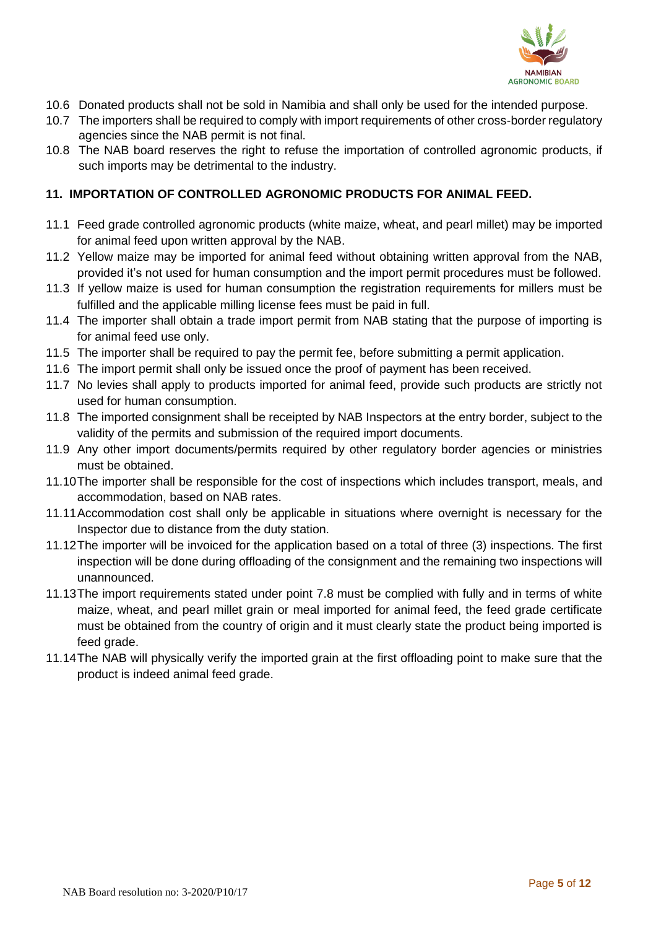

- 10.6 Donated products shall not be sold in Namibia and shall only be used for the intended purpose.
- 10.7 The importers shall be required to comply with import requirements of other cross-border regulatory agencies since the NAB permit is not final.
- 10.8 The NAB board reserves the right to refuse the importation of controlled agronomic products, if such imports may be detrimental to the industry.

# **11. IMPORTATION OF CONTROLLED AGRONOMIC PRODUCTS FOR ANIMAL FEED.**

- 11.1 Feed grade controlled agronomic products (white maize, wheat, and pearl millet) may be imported for animal feed upon written approval by the NAB.
- 11.2 Yellow maize may be imported for animal feed without obtaining written approval from the NAB, provided it's not used for human consumption and the import permit procedures must be followed.
- 11.3 If yellow maize is used for human consumption the registration requirements for millers must be fulfilled and the applicable milling license fees must be paid in full.
- 11.4 The importer shall obtain a trade import permit from NAB stating that the purpose of importing is for animal feed use only.
- 11.5 The importer shall be required to pay the permit fee, before submitting a permit application.
- 11.6 The import permit shall only be issued once the proof of payment has been received.
- 11.7 No levies shall apply to products imported for animal feed, provide such products are strictly not used for human consumption.
- 11.8 The imported consignment shall be receipted by NAB Inspectors at the entry border, subject to the validity of the permits and submission of the required import documents.
- 11.9 Any other import documents/permits required by other regulatory border agencies or ministries must be obtained.
- 11.10The importer shall be responsible for the cost of inspections which includes transport, meals, and accommodation, based on NAB rates.
- 11.11Accommodation cost shall only be applicable in situations where overnight is necessary for the Inspector due to distance from the duty station.
- 11.12The importer will be invoiced for the application based on a total of three (3) inspections. The first inspection will be done during offloading of the consignment and the remaining two inspections will unannounced.
- 11.13The import requirements stated under point 7.8 must be complied with fully and in terms of white maize, wheat, and pearl millet grain or meal imported for animal feed, the feed grade certificate must be obtained from the country of origin and it must clearly state the product being imported is feed grade.
- 11.14The NAB will physically verify the imported grain at the first offloading point to make sure that the product is indeed animal feed grade.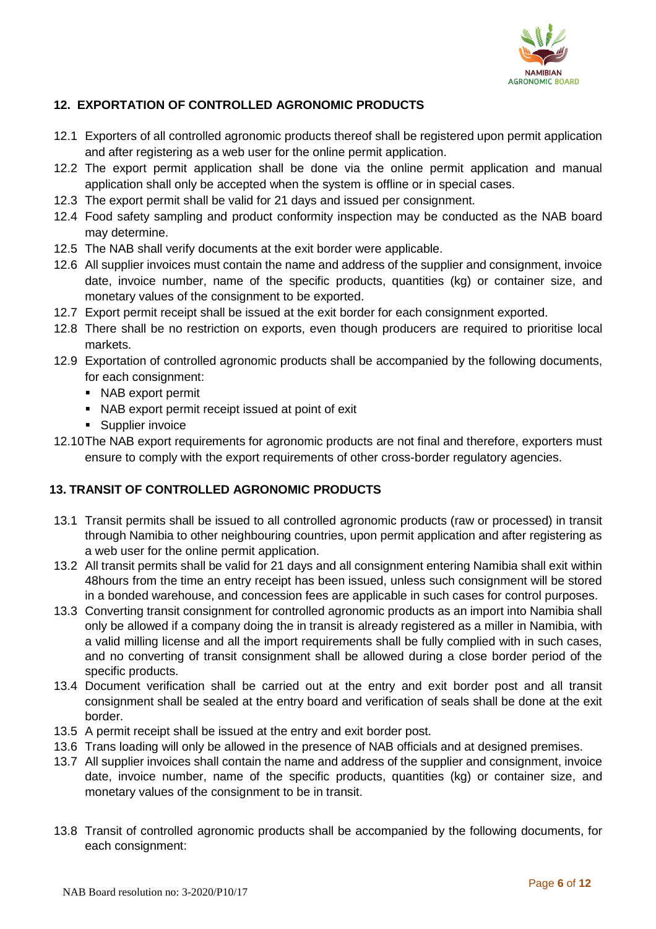

## **12. EXPORTATION OF CONTROLLED AGRONOMIC PRODUCTS**

- 12.1 Exporters of all controlled agronomic products thereof shall be registered upon permit application and after registering as a web user for the online permit application.
- 12.2 The export permit application shall be done via the online permit application and manual application shall only be accepted when the system is offline or in special cases.
- 12.3 The export permit shall be valid for 21 days and issued per consignment.
- 12.4 Food safety sampling and product conformity inspection may be conducted as the NAB board may determine.
- 12.5 The NAB shall verify documents at the exit border were applicable.
- 12.6 All supplier invoices must contain the name and address of the supplier and consignment, invoice date, invoice number, name of the specific products, quantities (kg) or container size, and monetary values of the consignment to be exported.
- 12.7 Export permit receipt shall be issued at the exit border for each consignment exported.
- 12.8 There shall be no restriction on exports, even though producers are required to prioritise local markets.
- 12.9 Exportation of controlled agronomic products shall be accompanied by the following documents, for each consignment:
	- NAB export permit
	- NAB export permit receipt issued at point of exit
	- Supplier invoice
- 12.10The NAB export requirements for agronomic products are not final and therefore, exporters must ensure to comply with the export requirements of other cross-border regulatory agencies.

## **13. TRANSIT OF CONTROLLED AGRONOMIC PRODUCTS**

- 13.1 Transit permits shall be issued to all controlled agronomic products (raw or processed) in transit through Namibia to other neighbouring countries, upon permit application and after registering as a web user for the online permit application.
- 13.2 All transit permits shall be valid for 21 days and all consignment entering Namibia shall exit within 48hours from the time an entry receipt has been issued, unless such consignment will be stored in a bonded warehouse, and concession fees are applicable in such cases for control purposes.
- 13.3 Converting transit consignment for controlled agronomic products as an import into Namibia shall only be allowed if a company doing the in transit is already registered as a miller in Namibia, with a valid milling license and all the import requirements shall be fully complied with in such cases, and no converting of transit consignment shall be allowed during a close border period of the specific products.
- 13.4 Document verification shall be carried out at the entry and exit border post and all transit consignment shall be sealed at the entry board and verification of seals shall be done at the exit border.
- 13.5 A permit receipt shall be issued at the entry and exit border post.
- 13.6 Trans loading will only be allowed in the presence of NAB officials and at designed premises.
- 13.7 All supplier invoices shall contain the name and address of the supplier and consignment, invoice date, invoice number, name of the specific products, quantities (kg) or container size, and monetary values of the consignment to be in transit.
- 13.8 Transit of controlled agronomic products shall be accompanied by the following documents, for each consignment: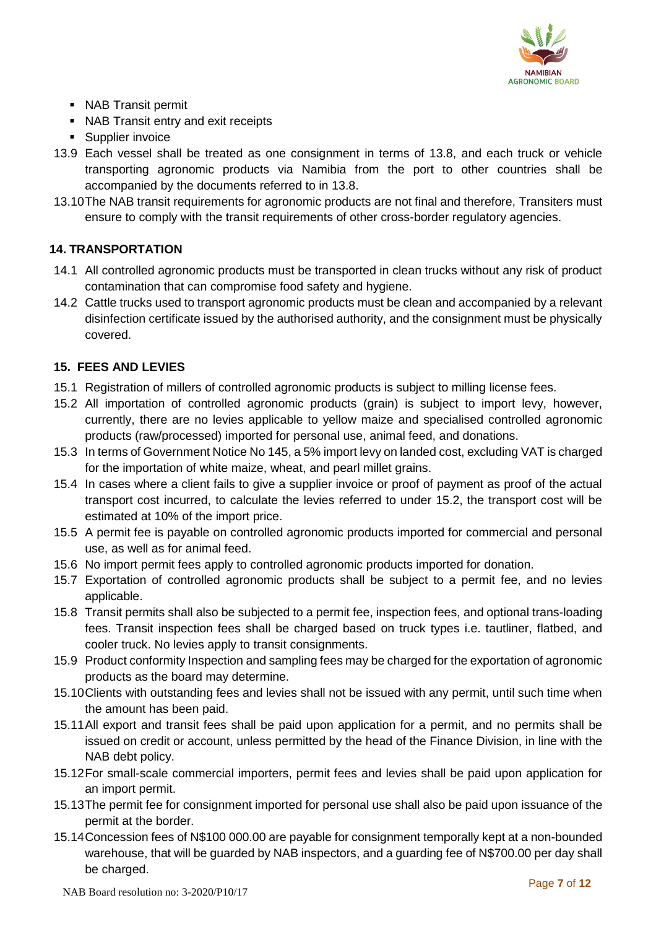

- NAB Transit permit
- NAB Transit entry and exit receipts
- Supplier invoice
- 13.9 Each vessel shall be treated as one consignment in terms of 13.8, and each truck or vehicle transporting agronomic products via Namibia from the port to other countries shall be accompanied by the documents referred to in 13.8.
- 13.10The NAB transit requirements for agronomic products are not final and therefore, Transiters must ensure to comply with the transit requirements of other cross-border regulatory agencies.

# **14. TRANSPORTATION**

- 14.1 All controlled agronomic products must be transported in clean trucks without any risk of product contamination that can compromise food safety and hygiene.
- 14.2 Cattle trucks used to transport agronomic products must be clean and accompanied by a relevant disinfection certificate issued by the authorised authority, and the consignment must be physically covered.

## **15. FEES AND LEVIES**

- 15.1 Registration of millers of controlled agronomic products is subject to milling license fees.
- 15.2 All importation of controlled agronomic products (grain) is subject to import levy, however, currently, there are no levies applicable to yellow maize and specialised controlled agronomic products (raw/processed) imported for personal use, animal feed, and donations.
- 15.3 In terms of Government Notice No 145, a 5% import levy on landed cost, excluding VAT is charged for the importation of white maize, wheat, and pearl millet grains.
- 15.4 In cases where a client fails to give a supplier invoice or proof of payment as proof of the actual transport cost incurred, to calculate the levies referred to under 15.2, the transport cost will be estimated at 10% of the import price.
- 15.5 A permit fee is payable on controlled agronomic products imported for commercial and personal use, as well as for animal feed.
- 15.6 No import permit fees apply to controlled agronomic products imported for donation.
- 15.7 Exportation of controlled agronomic products shall be subject to a permit fee, and no levies applicable.
- 15.8 Transit permits shall also be subjected to a permit fee, inspection fees, and optional trans-loading fees. Transit inspection fees shall be charged based on truck types i.e. tautliner, flatbed, and cooler truck. No levies apply to transit consignments.
- 15.9 Product conformity Inspection and sampling fees may be charged for the exportation of agronomic products as the board may determine.
- 15.10Clients with outstanding fees and levies shall not be issued with any permit, until such time when the amount has been paid.
- 15.11All export and transit fees shall be paid upon application for a permit, and no permits shall be issued on credit or account, unless permitted by the head of the Finance Division, in line with the NAB debt policy.
- 15.12For small-scale commercial importers, permit fees and levies shall be paid upon application for an import permit.
- 15.13The permit fee for consignment imported for personal use shall also be paid upon issuance of the permit at the border.
- 15.14Concession fees of N\$100 000.00 are payable for consignment temporally kept at a non-bounded warehouse, that will be guarded by NAB inspectors, and a guarding fee of N\$700.00 per day shall be charged.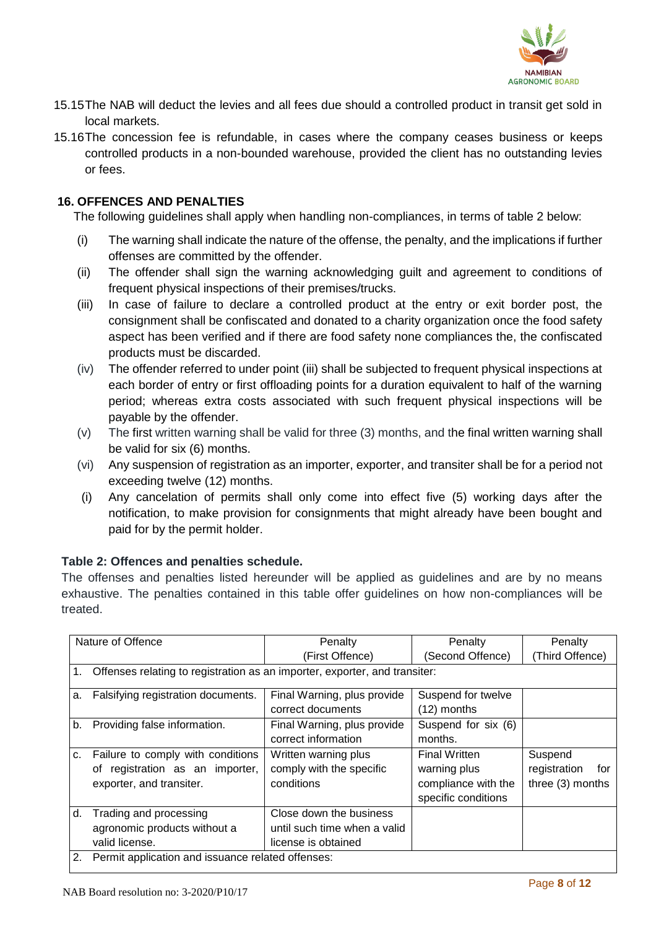

- 15.15The NAB will deduct the levies and all fees due should a controlled product in transit get sold in local markets.
- 15.16The concession fee is refundable, in cases where the company ceases business or keeps controlled products in a non-bounded warehouse, provided the client has no outstanding levies or fees.

#### **16. OFFENCES AND PENALTIES**

The following guidelines shall apply when handling non-compliances, in terms of table 2 below:

- (i) The warning shall indicate the nature of the offense, the penalty, and the implications if further offenses are committed by the offender.
- (ii) The offender shall sign the warning acknowledging guilt and agreement to conditions of frequent physical inspections of their premises/trucks.
- (iii) In case of failure to declare a controlled product at the entry or exit border post, the consignment shall be confiscated and donated to a charity organization once the food safety aspect has been verified and if there are food safety none compliances the, the confiscated products must be discarded.
- (iv) The offender referred to under point (iii) shall be subjected to frequent physical inspections at each border of entry or first offloading points for a duration equivalent to half of the warning period; whereas extra costs associated with such frequent physical inspections will be payable by the offender.
- (v) The first written warning shall be valid for three (3) months, and the final written warning shall be valid for six (6) months.
- (vi) Any suspension of registration as an importer, exporter, and transiter shall be for a period not exceeding twelve (12) months.
- (i) Any cancelation of permits shall only come into effect five (5) working days after the notification, to make provision for consignments that might already have been bought and paid for by the permit holder.

#### **Table 2: Offences and penalties schedule.**

The offenses and penalties listed hereunder will be applied as guidelines and are by no means exhaustive. The penalties contained in this table offer guidelines on how non-compliances will be treated.

| Nature of Offence |                                                                               | Penalty                      | Penalty              | Penalty             |  |
|-------------------|-------------------------------------------------------------------------------|------------------------------|----------------------|---------------------|--|
|                   |                                                                               | (First Offence)              | (Second Offence)     | (Third Offence)     |  |
|                   | 1. Offenses relating to registration as an importer, exporter, and transiter: |                              |                      |                     |  |
| а.                | Falsifying registration documents.                                            | Final Warning, plus provide  | Suspend for twelve   |                     |  |
|                   |                                                                               | correct documents            | $(12)$ months        |                     |  |
| b.                | Providing false information.                                                  | Final Warning, plus provide  | Suspend for six (6)  |                     |  |
|                   |                                                                               | correct information          | months.              |                     |  |
| C.                | Failure to comply with conditions                                             | Written warning plus         | <b>Final Written</b> | Suspend             |  |
|                   | of registration as an importer,                                               | comply with the specific     | warning plus         | registration<br>for |  |
|                   | exporter, and transiter.                                                      | conditions                   | compliance with the  | three (3) months    |  |
|                   |                                                                               |                              | specific conditions  |                     |  |
| d.                | Trading and processing                                                        | Close down the business      |                      |                     |  |
|                   | agronomic products without a                                                  | until such time when a valid |                      |                     |  |
|                   | valid license.                                                                | license is obtained          |                      |                     |  |
|                   | 2. Permit application and issuance related offenses:                          |                              |                      |                     |  |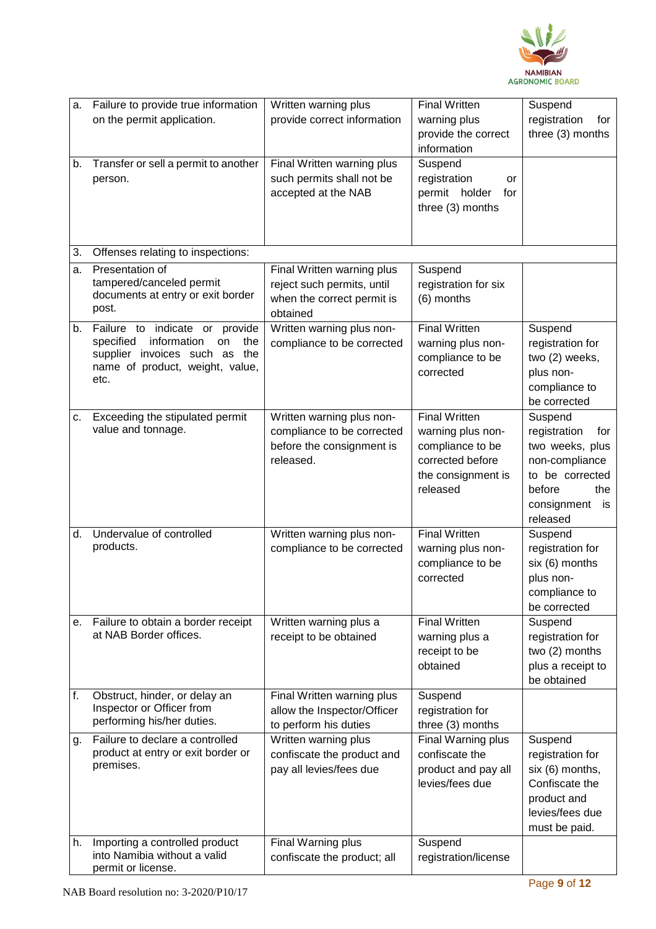

| a. | Failure to provide true information<br>on the permit application.                                                                                   | Written warning plus<br>provide correct information                                                | <b>Final Written</b><br>warning plus<br>provide the correct<br>information                                          | Suspend<br>registration<br>for<br>three (3) months                                                                                       |
|----|-----------------------------------------------------------------------------------------------------------------------------------------------------|----------------------------------------------------------------------------------------------------|---------------------------------------------------------------------------------------------------------------------|------------------------------------------------------------------------------------------------------------------------------------------|
| b. | Transfer or sell a permit to another<br>person.                                                                                                     | Final Written warning plus<br>such permits shall not be<br>accepted at the NAB                     | Suspend<br>registration<br>or<br>permit holder<br>for<br>three (3) months                                           |                                                                                                                                          |
| 3. | Offenses relating to inspections:                                                                                                                   |                                                                                                    |                                                                                                                     |                                                                                                                                          |
| a. | Presentation of<br>tampered/canceled permit<br>documents at entry or exit border<br>post.                                                           | Final Written warning plus<br>reject such permits, until<br>when the correct permit is<br>obtained | Suspend<br>registration for six<br>(6) months                                                                       |                                                                                                                                          |
| b. | Failure to indicate or provide<br>specified<br>information<br>the<br>on<br>supplier invoices such as the<br>name of product, weight, value,<br>etc. | Written warning plus non-<br>compliance to be corrected                                            | <b>Final Written</b><br>warning plus non-<br>compliance to be<br>corrected                                          | Suspend<br>registration for<br>two (2) weeks,<br>plus non-<br>compliance to<br>be corrected                                              |
| С. | Exceeding the stipulated permit<br>value and tonnage.                                                                                               | Written warning plus non-<br>compliance to be corrected<br>before the consignment is<br>released.  | <b>Final Written</b><br>warning plus non-<br>compliance to be<br>corrected before<br>the consignment is<br>released | Suspend<br>registration<br>for<br>two weeks, plus<br>non-compliance<br>to be corrected<br>before<br>the<br>consignment<br>is<br>released |
| d. | Undervalue of controlled<br>products.                                                                                                               | Written warning plus non-<br>compliance to be corrected                                            | <b>Final Written</b><br>warning plus non-<br>compliance to be<br>corrected                                          | Suspend<br>registration for<br>six (6) months<br>plus non-<br>compliance to<br>be corrected                                              |
| е. | Failure to obtain a border receipt<br>at NAB Border offices.                                                                                        | Written warning plus a<br>receipt to be obtained                                                   | <b>Final Written</b><br>warning plus a<br>receipt to be<br>obtained                                                 | Suspend<br>registration for<br>two (2) months<br>plus a receipt to<br>be obtained                                                        |
| f. | Obstruct, hinder, or delay an<br>Inspector or Officer from<br>performing his/her duties.                                                            | Final Written warning plus<br>allow the Inspector/Officer<br>to perform his duties                 | Suspend<br>registration for<br>three (3) months                                                                     |                                                                                                                                          |
| g. | Failure to declare a controlled<br>product at entry or exit border or<br>premises.                                                                  | Written warning plus<br>confiscate the product and<br>pay all levies/fees due                      | Final Warning plus<br>confiscate the<br>product and pay all<br>levies/fees due                                      | Suspend<br>registration for<br>six (6) months,<br>Confiscate the<br>product and<br>levies/fees due<br>must be paid.                      |
| h. | Importing a controlled product<br>into Namibia without a valid<br>permit or license.                                                                | Final Warning plus<br>confiscate the product; all                                                  | Suspend<br>registration/license                                                                                     |                                                                                                                                          |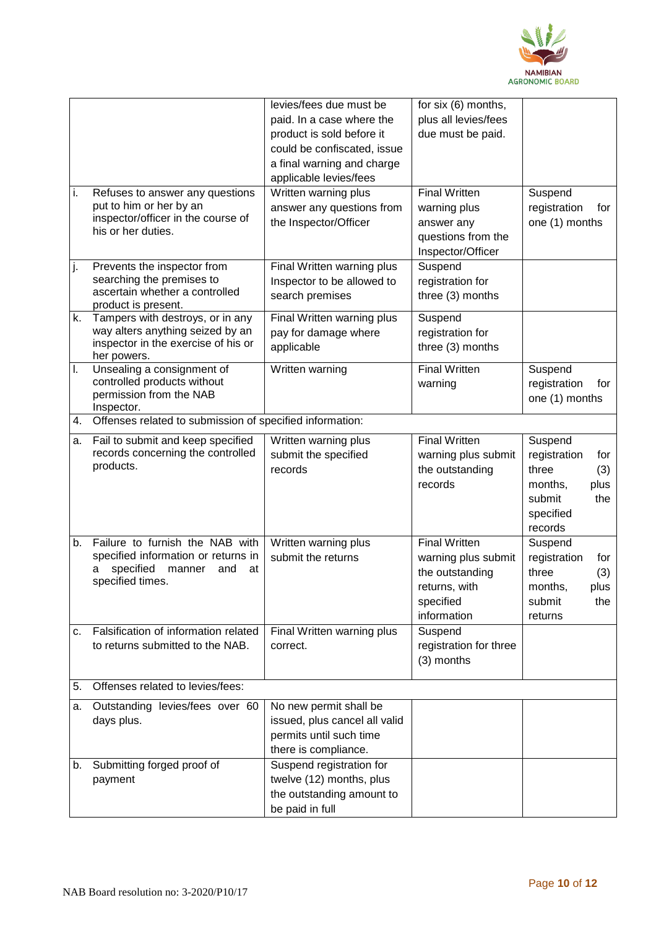

|    |                                                                         | levies/fees due must be                              | for six (6) months,                    |                                     |
|----|-------------------------------------------------------------------------|------------------------------------------------------|----------------------------------------|-------------------------------------|
|    |                                                                         | paid. In a case where the                            | plus all levies/fees                   |                                     |
|    |                                                                         | product is sold before it                            | due must be paid.                      |                                     |
|    |                                                                         | could be confiscated, issue                          |                                        |                                     |
|    |                                                                         | a final warning and charge<br>applicable levies/fees |                                        |                                     |
| i. | Refuses to answer any questions                                         | Written warning plus                                 | <b>Final Written</b>                   | Suspend                             |
|    | put to him or her by an                                                 | answer any questions from                            | warning plus                           | registration<br>for                 |
|    | inspector/officer in the course of<br>his or her duties.                | the Inspector/Officer                                | answer any                             | one (1) months                      |
|    |                                                                         |                                                      | questions from the                     |                                     |
|    |                                                                         |                                                      | Inspector/Officer                      |                                     |
| j. | Prevents the inspector from<br>searching the premises to                | Final Written warning plus                           | Suspend                                |                                     |
|    | ascertain whether a controlled                                          | Inspector to be allowed to                           | registration for                       |                                     |
|    | product is present.                                                     | search premises                                      | three (3) months                       |                                     |
| k. | Tampers with destroys, or in any                                        | Final Written warning plus                           | Suspend                                |                                     |
|    | way alters anything seized by an<br>inspector in the exercise of his or | pay for damage where                                 | registration for                       |                                     |
|    | her powers.                                                             | applicable                                           | three (3) months                       |                                     |
| I. | Unsealing a consignment of                                              | Written warning                                      | <b>Final Written</b>                   | Suspend                             |
|    | controlled products without<br>permission from the NAB                  |                                                      | warning                                | registration<br>for                 |
|    | Inspector.                                                              |                                                      |                                        | one (1) months                      |
| 4. | Offenses related to submission of specified information:                |                                                      |                                        |                                     |
| a. | Fail to submit and keep specified                                       | Written warning plus                                 | <b>Final Written</b>                   | Suspend                             |
|    | records concerning the controlled                                       | submit the specified                                 | warning plus submit                    | registration<br>for                 |
|    | products.                                                               | records                                              | the outstanding                        | three<br>(3)                        |
|    |                                                                         |                                                      | records                                | months,<br>plus                     |
|    |                                                                         |                                                      |                                        | submit<br>the                       |
|    |                                                                         |                                                      |                                        | specified                           |
|    |                                                                         |                                                      |                                        | records                             |
| b. | Failure to furnish the NAB with<br>specified information or returns in  | Written warning plus<br>submit the returns           | <b>Final Written</b>                   | Suspend                             |
|    | specified<br>manner<br>at<br>and<br>а                                   |                                                      | warning plus submit<br>the outstanding | registration<br>for<br>three<br>(3) |
|    | specified times.                                                        |                                                      | returns, with                          | months,<br>plus                     |
|    |                                                                         |                                                      | specified                              | submit<br>the                       |
|    |                                                                         |                                                      | information                            | returns                             |
| c. | Falsification of information related                                    | Final Written warning plus                           | Suspend                                |                                     |
|    | to returns submitted to the NAB.                                        | correct.                                             | registration for three                 |                                     |
|    |                                                                         |                                                      | (3) months                             |                                     |
| 5. | Offenses related to levies/fees:                                        |                                                      |                                        |                                     |
| a. | Outstanding levies/fees over 60                                         | No new permit shall be                               |                                        |                                     |
|    | days plus.                                                              | issued, plus cancel all valid                        |                                        |                                     |
|    |                                                                         | permits until such time                              |                                        |                                     |
|    |                                                                         | there is compliance.                                 |                                        |                                     |
| b. | Submitting forged proof of                                              | Suspend registration for                             |                                        |                                     |
|    | payment                                                                 | twelve (12) months, plus                             |                                        |                                     |
|    |                                                                         | the outstanding amount to                            |                                        |                                     |
|    |                                                                         | be paid in full                                      |                                        |                                     |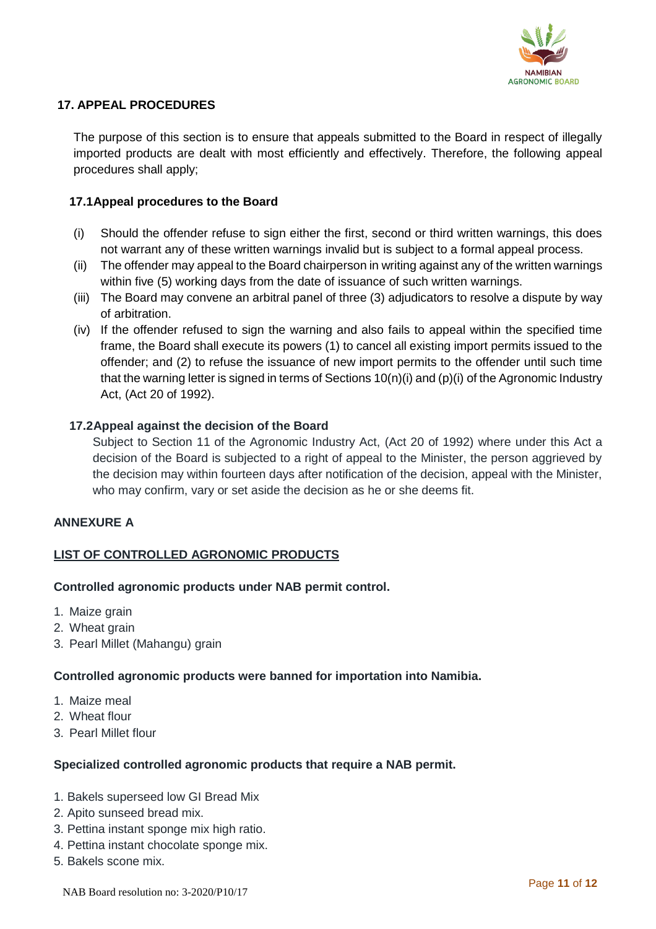

### **17. APPEAL PROCEDURES**

The purpose of this section is to ensure that appeals submitted to the Board in respect of illegally imported products are dealt with most efficiently and effectively. Therefore, the following appeal procedures shall apply;

#### **17.1Appeal procedures to the Board**

- (i) Should the offender refuse to sign either the first, second or third written warnings, this does not warrant any of these written warnings invalid but is subject to a formal appeal process.
- (ii) The offender may appeal to the Board chairperson in writing against any of the written warnings within five (5) working days from the date of issuance of such written warnings.
- (iii) The Board may convene an arbitral panel of three (3) adjudicators to resolve a dispute by way of arbitration.
- (iv) If the offender refused to sign the warning and also fails to appeal within the specified time frame, the Board shall execute its powers (1) to cancel all existing import permits issued to the offender; and (2) to refuse the issuance of new import permits to the offender until such time that the warning letter is signed in terms of Sections  $10(n)(i)$  and  $(p)(i)$  of the Agronomic Industry Act, (Act 20 of 1992).

#### **17.2Appeal against the decision of the Board**

Subject to Section 11 of the Agronomic Industry Act, (Act 20 of 1992) where under this Act a decision of the Board is subjected to a right of appeal to the Minister, the person aggrieved by the decision may within fourteen days after notification of the decision, appeal with the Minister, who may confirm, vary or set aside the decision as he or she deems fit.

#### **ANNEXURE A**

## **LIST OF CONTROLLED AGRONOMIC PRODUCTS**

#### **Controlled agronomic products under NAB permit control.**

- 1. Maize grain
- 2. Wheat grain
- 3. Pearl Millet (Mahangu) grain

#### **Controlled agronomic products were banned for importation into Namibia.**

- 1. Maize meal
- 2. Wheat flour
- 3. Pearl Millet flour

#### **Specialized controlled agronomic products that require a NAB permit.**

- 1. Bakels superseed low GI Bread Mix
- 2. Apito sunseed bread mix.
- 3. Pettina instant sponge mix high ratio.
- 4. Pettina instant chocolate sponge mix.
- 5. Bakels scone mix.